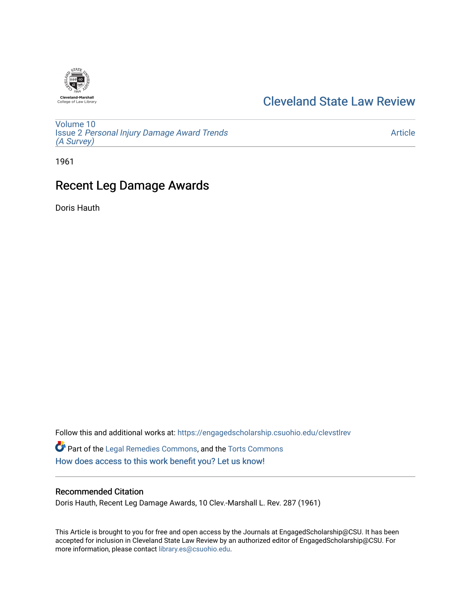

## [Cleveland State Law Review](https://engagedscholarship.csuohio.edu/clevstlrev)

[Volume 10](https://engagedscholarship.csuohio.edu/clevstlrev/vol10) Issue 2 [Personal Injury Damage Award Trends](https://engagedscholarship.csuohio.edu/clevstlrev/vol10/iss2) [\(A Survey\)](https://engagedscholarship.csuohio.edu/clevstlrev/vol10/iss2)

[Article](https://engagedscholarship.csuohio.edu/clevstlrev/vol10/iss2/9) 

1961

# Recent Leg Damage Awards

Doris Hauth

Follow this and additional works at: [https://engagedscholarship.csuohio.edu/clevstlrev](https://engagedscholarship.csuohio.edu/clevstlrev?utm_source=engagedscholarship.csuohio.edu%2Fclevstlrev%2Fvol10%2Fiss2%2F9&utm_medium=PDF&utm_campaign=PDFCoverPages) Part of the [Legal Remedies Commons,](http://network.bepress.com/hgg/discipline/618?utm_source=engagedscholarship.csuohio.edu%2Fclevstlrev%2Fvol10%2Fiss2%2F9&utm_medium=PDF&utm_campaign=PDFCoverPages) and the [Torts Commons](http://network.bepress.com/hgg/discipline/913?utm_source=engagedscholarship.csuohio.edu%2Fclevstlrev%2Fvol10%2Fiss2%2F9&utm_medium=PDF&utm_campaign=PDFCoverPages) [How does access to this work benefit you? Let us know!](http://library.csuohio.edu/engaged/)

### Recommended Citation

Doris Hauth, Recent Leg Damage Awards, 10 Clev.-Marshall L. Rev. 287 (1961)

This Article is brought to you for free and open access by the Journals at EngagedScholarship@CSU. It has been accepted for inclusion in Cleveland State Law Review by an authorized editor of EngagedScholarship@CSU. For more information, please contact [library.es@csuohio.edu](mailto:library.es@csuohio.edu).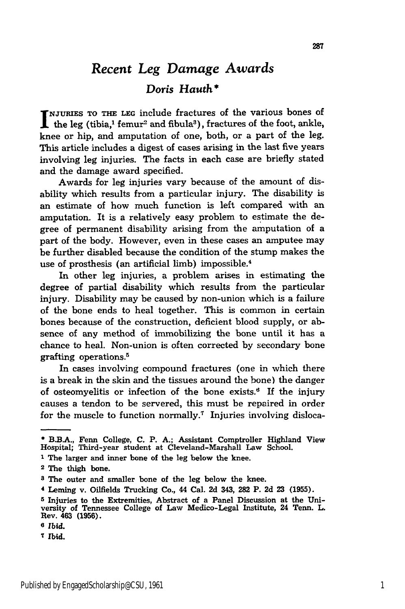### *Recent Leg Damage Awards Doris Hauth \**

**NJURIES TO THE LEG** include fractures of the various bones of the leg (tibia,<sup>1</sup> femur<sup>2</sup> and fibula<sup>3</sup>), fractures of the foot, ankle, knee or hip, and amputation of one, both, or a part of the leg. This article includes a digest of cases arising in the last five years involving leg injuries. The facts in each case are briefly stated and the damage award specified.

Awards for leg injuries vary because of the amount of disability which results from a particular injury. The disability is an estimate of how much function is left compared with an amputation. It is a relatively easy problem to estimate the degree of permanent disability arising from the amputation of a part of the body. However, even in these cases an amputee may be further disabled because the condition of the stump makes the use of prosthesis (an artificial limb) impossible.<sup>4</sup>

In other leg injuries, a problem arises in estimating the degree of partial disability which results from the particular injury. Disability may be caused by non-union which is a failure of the bone ends to heal together. This is common in certain bones because of the construction, deficient blood supply, or absence of any method of immobilizing the bone until it has a chance to heal. Non-union is often corrected by secondary bone grafting operations. <sup>5</sup>

In cases involving compound fractures (one in which there is a break in the skin and the tissues around the bone) the danger of osteomyelitis or infection of the bone exists.' If the injury causes a tendon to be servered, this must be repaired in order for the muscle to function normally.<sup>7</sup> Injuries involving disloca-

- **1** The larger and inner bone of the leg below the knee.
- **2** The thigh bone.

Ibid.

**<sup>\*</sup> B.B.A.,** Fenn College, **C.** P. **A.;** Assistant Comptroller Highland View Hospital; Third-year student at Cleveland-Marshall Law School.

**<sup>8</sup>** The outer and smaller bone of the leg below the knee.

**<sup>4</sup>** Leming v. Oilfields Trucking Co., 44 Cal. **2d** 343, **282** P. **2d 23 (1955).**

**<sup>5</sup>** Injuries to the Extremities, Abstract of a Panel Discussion at the University of Tennessee College of Law Medico-Legal Institute, 24 Tenn. L. Rev. 463 **(1956).**

**<sup>6</sup>** *Ibid.*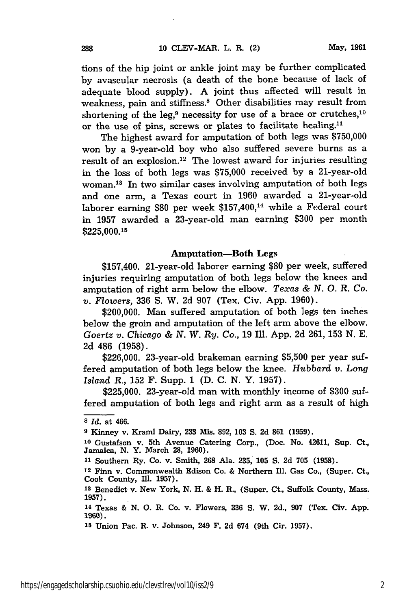tions of the hip joint or ankle joint may be further complicated **by** avascular necrosis (a death of the bone because of lack of adequate blood supply). **A** joint thus affected will result in weakness, pain and stiffness.<sup>8</sup> Other disabilities may result from shortening of the leg,<sup>9</sup> necessity for use of a brace or crutches, $10$ or the use of pins, screws or plates to facilitate healing."

The highest award for amputation of both legs was **\$750,000** won **by** a 9-year-old boy who also suffered severe burns as a result of an explosion.<sup>12</sup> The lowest award for injuries resulting in the loss of both legs was **\$75,000** received **by** a 21-year-old woman.<sup>13</sup> In two similar cases involving amputation of both legs and one arm, a Texas court in **1960** awarded a 21-year-old laborer earning **\$80** per week \$157,400,14 while a Federal court in **1957** awarded a 23-year-old man earning **\$300** per month **\$225,000.15**

#### Amputation-Both Legs

\$157,400. 21-year-old laborer earning **\$80** per week, suffered injuries requiring amputation of both legs below the knees and amputation of right arm below the elbow. *Texas & N. 0. R. Co. v. Flowers,* **336 S.** W. **2d 907** (Tex. Civ. **App. 1960).**

\$200,000. Man suffered amputation of both legs ten inches below the groin and amputation of the left arm above the elbow. *Goertz v. Chicago & N. W. Ry. Co.,* **19** Ill. **App. 2d 261, 153 N. E. 2d** 486 **(1958).**

**\$226,000.** 23-year-old brakeman earning **\$5,500** per year suffered amputation of both legs below the knee. *Hubbard v. Long Island R.,* **152** F. Supp. **1 (D. C. N.** Y. **1957).**

**\$225,000.** 23-year-old man with monthly income of **\$300** suffered amputation of both legs and right arm as a result of high

*<sup>8</sup> Id.* at 466.

**<sup>9</sup>** Kinney v. Kraml Dairy, **233** Mis. **892, 103 S. 2d 861 (1959).**

**<sup>10</sup>**Gustafson v. 5th Avenue Catering Corp., (Doc. No. 42611, Sup. Ct., Jamaica, **N.** Y. March **28, 1960).**

**<sup>11</sup>**Southern Ry. Co. v. Smith, **268** Ala. **235, 105 S. 2d 705 (1958).**

**<sup>12</sup>**Finn v. Commonwealth Edison Co. **&** Northern Ill. Gas Co., (Super. Ct., Cook County, **Ill. 1957).**

**<sup>13</sup>**Benedict v. New York, **N.** H. **&** H. R., (Super. Ct., Suffolk County, Mass. **1957).**

**<sup>14</sup>**Texas **& N. 0.** R. Co. v. Flowers, **336 S.** W. **2d., 907** (Tex. Civ. **App. 1960).**

**<sup>15</sup>**Union Pac. R. v. Johnson, 249 F. **2d** 674 (9th Cir. **1957).**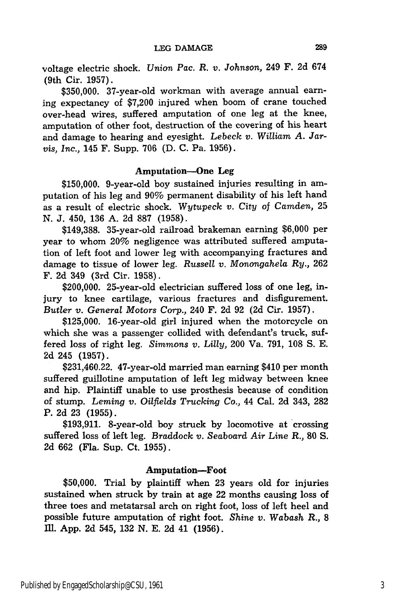voltage electric shock. *Union* Pac. *R. v. Johnson,* 249 F. 2d 674 (9th Cir. 1957).

\$350,000. 37-year-old workman with average annual earning expectancy of \$7,200 injured when boom of crane touched over-head wires, suffered amputation of one leg at the knee, amputation of other foot, destruction of the covering of his heart and damage to hearing and eyesight. *Lebeck v. William A. Jarvis, Inc.,* 145 F. Supp. 706 (D. C. Pa. 1956).

#### Amputation-One Leg

**\$150,000.** 9-year-old boy sustained injuries resulting in amputation of his leg and **90%** permanent disability of his left hand as a result of electric shock. Wytupeck *v.* City of *Camden,* **25 N. J.** 450, **136 A. 2d 887 (1958).**

**\$149,388.** 35-year-old railroad brakeman earning **\$6,000** per year to whom 20% negligence was attributed suffered amputation of left foot and lower leg with accompanying fractures and damage to tissue of lower leg. *Russell v. Monongahela Ry.,* **262** F. **2d** 349 (3rd Cir. **1958).**

\$200,000. 25-year-old electrician suffered loss of one leg, injury to knee cartilage, various fractures and disfigurement. *Butler v. General Motors Corp.,* 240 F. **2d 92 (2d** Cir. **1957).**

**\$125,000.** 16-year-old girl injured when the motorcycle on which she was a passenger collided with defendant's truck, suffered loss of right leg. *Simmons v. Lilly,* 200 Va. 791, 108 S. E. 2d 245 (1957).

\$231,460.22. 47-year-old married man earning \$410 per month suffered guillotine amputation of left leg midway between knee and hip. Plaintiff unable to use prosthesis because of condition of stump. *Leming v. Oilfields Trucking Co.,* 44 Cal. 2d 343, 282 P. 2d 23 (1955).

\$193,911. 8-year-old boy struck by locomotive at crossing suffered loss of left leg. *Braddock v. Seaboard Air* Line R., 80 S. 2d 662 (Fla. Sup. Ct. 1955).

#### Amputation-Foot

**\$50,000.** Trial **by** plaintiff when **23** years old for injuries sustained when struck **by** train at age 22 months causing loss of three toes and metatarsal arch on right foot, loss of left heel and possible future amputation of right foot. *Shine v. Wabash R.,* **8 11l. App. 2d** 545, **132 N. E. 2d** 41 **(1956).**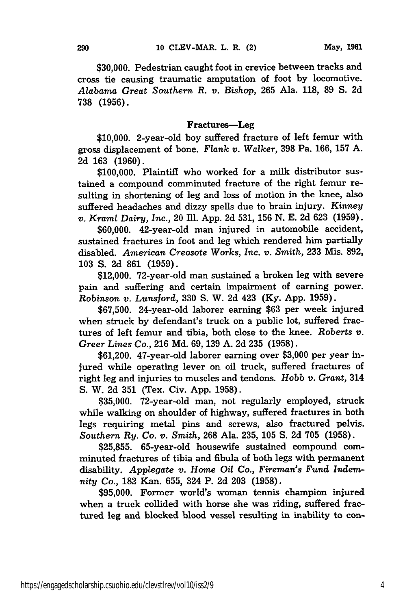**\$30,000.** Pedestrian caught foot in crevice between tracks and cross tie causing traumatic amputation of foot **by** locomotive. *Alabama Great Southern R. v.* Bishop, **265** Ala. **118, 89 S. 2d** 738 (1956).

#### Fractures-Leg

**\$10,000.** 2-year-old boy suffered fracture of left femur with gross displacement of bone. *Flank v. Walker,* **398** Pa. **166, 157 A. 2d 163 (1960).**

**\$100,000.** Plaintiff who worked for a milk distributor sustained a compound comminuted fracture of the right femur resulting in shortening of leg and loss of motion in the knee, also suffered headaches and dizzy spells due to brain injury. *Kinney v. Kraml Dairy, Inc.,* 20 Ill. **App. 2d 531, 156 N. E. 2d 623 (1959).**

**\$60,000.** 42-year-old man injured in automobile accident, sustained fractures in foot and leg which rendered him partially disabled. *American Creosote Works, Inc. v. Smith,* **233** Mis. **892, 103** S. 2d 861 (1959).

\$12,000. 72-year-old man sustained a broken leg with severe pain and suffering and certain impairment of earning power. *Robinson v. Lunsford,* 330 S. W. 2d 423 (Ky. App. 1959).

\$67,500. 24-year-old laborer earning \$63 per week injured when struck by defendant's truck on a public lot, suffered fractures of left femur and tibia, both close to the knee. *Roberts v. Greer Lines Co.,* **216** Md. 69, 139 A. 2d 235 (1958).

\$61,200. 47-year-old laborer earning over \$3,000 per year injured while operating lever on oil truck, suffered fractures of right leg and injuries to muscles and tendons. *Hobb v. Grant,* 314 S. W. **2d** 351 (Tex. Civ. App. 1958).

\$35,000. 72-year-old man, not regularly employed, struck while walking on shoulder of highway, suffered fractures in both legs requiring metal pins and screws, also fractured pelvis. *Southern Ry. Co. v. Smith,* 268 Ala. 235, **105** S. 2d **705** (1958).

\$25,855. 65-year-old housewife sustained compound comminuted fractures of tibia and fibula of both legs with permanent disability. *Applegate v. Home Oil Co., Fireman's Fund Indemnity Co.,* 182 Kan. 655, 324 P. **2d 203** (1958).

\$95,000. Former world's woman tennis champion injured when a truck collided with horse she was riding, suffered fractured leg and blocked blood vessel resulting in inability to con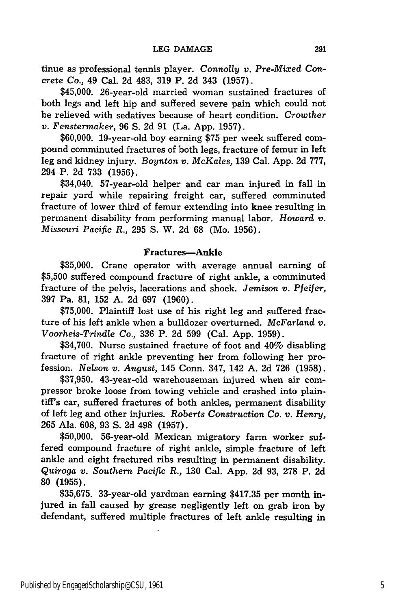tinue as professional tennis player. *Connolly v. Pre-Mixed Concrete Co.,* 49 Cal. 2d 483, 319 P. 2d 343 (1957).

\$45,000. 26-year-old married woman sustained fractures of both legs and left hip and suffered severe pain which could not be relieved with sedatives because of heart condition. *Crowther v. Fenstermaker,* 96 S. 2d 91 (La. App. 1957).

\$60,000. 19-year-old boy earning \$75 per week suffered compound comminuted fractures of both legs, fracture of femur in left leg and kidney injury. *Boynton v. McKales,* 139 Cal. App. 2d 777, 294 P. 2d 733 (1956).

\$34,040. 57-year-old helper and car man injured in fall in repair yard while repairing freight car, suffered comminuted fracture of lower third of femur extending into knee resulting in permanent disability from performing manual labor. *Howard v. Missouri Pacific R.,* 295 S. W. 2d 68 (Mo. 1956).

#### Fractures-Ankle

**\$35,000.** Crane operator with average annual earning of **\$5,500** suffered compound fracture of right ankle, a comminuted fracture of the pelvis, lacerations and shock. *Jemison v. Pfeifer,* **397** Pa. **81, 152 A. 2d 697 (1960).**

**\$75,000.** Plaintiff lost use of his right leg and suffered fracture of his left ankle when a bulldozer overturned. *McFarland v. Voorheis-Trindle Co.,* **336** P. **2d 599** (Cal. **App. 1959).**

\$34,700. Nurse sustained fracture of foot and 40% disabling fracture of right ankle preventing her from following her profession. *Nelson v. August,* 145 Conn. 347, 142 **A. 2d 726 (1958).**

**\$37,950.** 43-year-old warehouseman injured when air compressor broke loose from towing vehicle and crashed into plaintiff's car, suffered fractures of both ankles, permanent disability of left leg and other injuries. *Roberts Construction Co. v. Henry,* 265 Ala. 608, 93 S. 2d 498 (1957).

\$50,000. 56-year-old Mexican migratory farm worker suffered compound fracture of right ankle, simple fracture of left ankle and eight fractured ribs resulting in permanent disability. *Quiroga v. Southern Pacific R.,* 130 Cal. App. 2d 93, 278 P. 2d **80 (1955).**

**\$35,675.** 33-year-old yardman earning **\$417.35** per month injured in fall caused **by** grease negligently left on grab iron **by** defendant, suffered multiple fractures of left ankle resulting in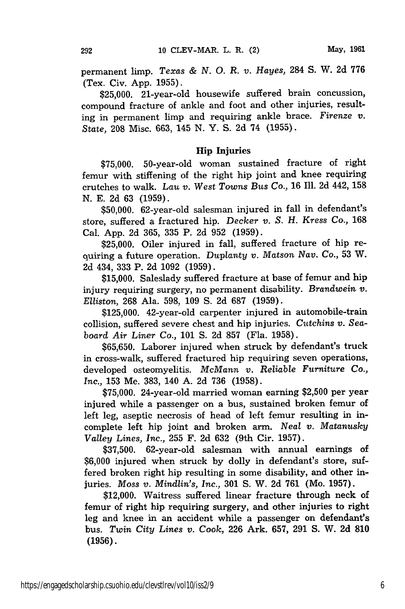permanent limp. *Texas & N. 0. R. v. Hayes,* 284 **S.** W. 2d **776** (Tex. Civ. App. 1955).

\$25,000. 21-year-old housewife suffered brain concussion, compound fracture of ankle and foot and other injuries, resulting in permanent limp and requiring ankle brace. *Firenze v. State,* **208** Misc. 663, 145 N. Y. S. 2d 74 (1955).

#### **Hip Injuries**

\$75,000. 50-year-old woman sustained fracture of right femur with stiffening of the right hip joint and knee requiring crutches to walk. *Lau v. West Towns Bus Co.,* 16 Ill. 2d 442, 158 **N.** E. 2d 63 **(1959).**

\$50,000. 62-year-old salesman injured in fall in defendant's store, suffered a fractured hip. *Decker v. S. H. Kress Co.,* **168** Cal. App. 2d 365, 335 P. 2d 952 (1959).

\$25,000. Oiler injured in fall, suffered fracture of hip requiring a future operation. *Duplanty v.* Matson *Nay. Co.,* 53 W. 2d 434, 333 P. 2d 1092 (1959).

\$15,000. Saleslady suffered fracture at base of femur and hip injury requiring surgery, no permanent disability. *Brandwein v. Eliiston,* 268 Ala. 598, 109 **S.** 2d 687 (1959).

\$125,000. 42-year-old carpenter injured in automobile-train collision, suffered severe chest and hip injuries. *Cutchins v. Seaboard Air Liner Co.,* 101 **S.** 2d 857 (Fla. 1958).

\$65,650. Laborer injured when struck by defendant's truck in cross-walk, suffered fractured hip requiring seven operations, developed osteomyelitis. *McMann v. Reliable Furniture Co., Inc.,* 153 Me. 383, 140 A. 2d 736 (1958).

\$75,000. 24-year-old married woman earning \$2,500 per year injured while a passenger on a bus, sustained broken femur of left leg, aseptic necrosis of head of left femur resulting in incomplete left hip joint and broken arm. *Neal v. Matanusky Valley Lines, Inc.,* 255 F. 2d 632 (9th Cir. 1957).

\$37,500. 62-year-old salesman with annual earnings of \$6,000 injured when struck by dolly in defendant's store, suffered broken right hip resulting in some disability, and other injuries. *Moss v. Mindlin's, Inc.,* 301 **S.** W. 2d **761** (Mo. 1957).

\$12,000. Waitress suffered linear fracture through neck of femur of right hip requiring surgery, and other injuries to right leg and knee in an accident while a passenger on defendant's bus. *Twin City Lines v. Cook,* 226 Ark. 657, 291 S. W. 2d **810** (1956).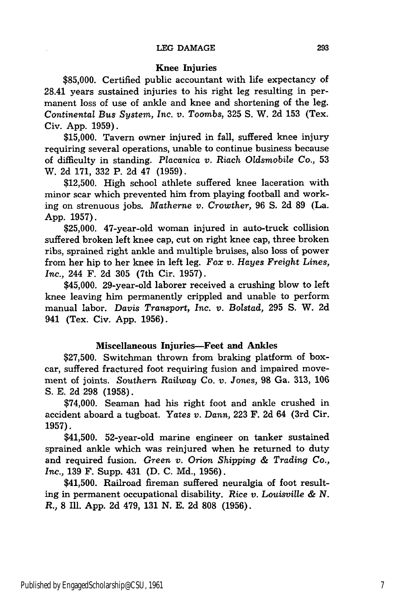#### Knee Injuries

**\$85,000.** Certified public accountant with life expectancy of 28.41 years sustained injuries to his right leg resulting in permanent loss of use of ankle and knee and shortening of the leg. *Continental Bus System, Inc. v. Toombs,* 325 **S.** W. 2d 153 (Tex. Civ. App. 1959).

\$15,000. Tavern owner injured in fall, suffered knee injury requiring several operations, unable to continue business because of difficulty in standing. *Placanica v. Riach Oldsmobile Co.,* 53 W. 2d 171, 332 P. 2d 47 (1959).

\$12,500. High school athlete suffered knee laceration with minor scar which prevented him from playing football and working on strenuous jobs. *Matherne v. Crowther,* 96 **S.** 2d **89** (La. App. 1957).

\$25,000. 47-year-old woman injured in auto-truck collision suffered broken left knee cap, cut on right knee cap, three broken ribs, sprained right ankle and multiple bruises, also loss of power from her hip to her knee in left leg. *Fox v. Hayes Freight Lines, Inc.,* 244 F. **2d 305** (7th Cir. 1957).

\$45,000. 29-year-old laborer received a crushing blow to left knee leaving him permanently crippled and unable to perform manual labor. *Davis Transport, Inc. v. Bolstad,* 295 S. W. 2d 941 (Tex. Civ. App. 1956).

#### Miscellaneous Injuries-Feet and Ankles

\$27,500. Switchman thrown from braking platform of boxcar, suffered fractured foot requiring fusion and impaired movement of joints. *Southern Railway* Co. *v. Jones,* **98** Ga. **313, 106** S. **E. 2d** 298 **(1958).**

\$74,000. Seaman had his right foot and ankle crushed in accident aboard a tugboat. *Yates v. Dann,* **223** F. 2d 64 (3rd Cir. 1957).

\$41,500. 52-year-old marine engineer on tanker sustained sprained ankle which was reinjured when he returned to duty and required fusion. *Green v. Orion Shipping & Trading Co., Inc.,* 139 F. Supp. 431 **(D.** C. Md., 1956).

\$41,500. Railroad fireman suffered neuralgia of foot resulting in permanent occupational disability. *Rice v. Louisville & N. R.,* **8** Ill. App. **2d** 479, 131 **N.** E. **2d 808** (1956).